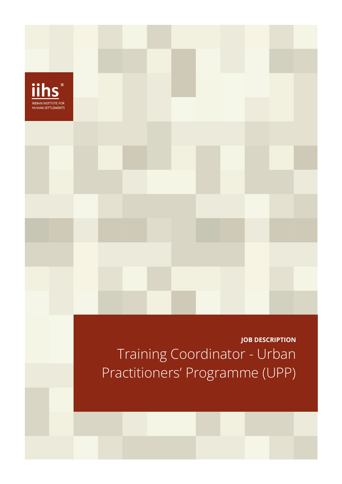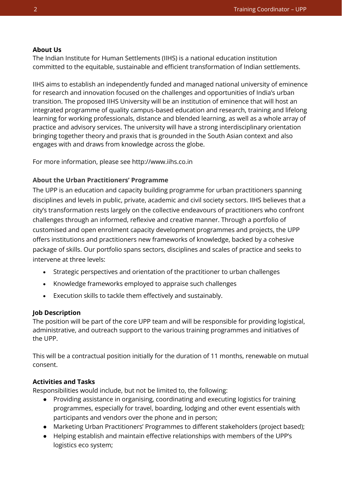### **About Us**

The Indian Institute for Human Settlements (IIHS) is a national education institution committed to the equitable, sustainable and efficient transformation of Indian settlements.

IIHS aims to establish an independently funded and managed national university of eminence for research and innovation focused on the challenges and opportunities of India's urban transition. The proposed IIHS University will be an institution of eminence that will host an integrated programme of quality campus-based education and research, training and lifelong learning for working professionals, distance and blended learning, as well as a whole array of practice and advisory services. The university will have a strong interdisciplinary orientation bringing together theory and praxis that is grounded in the South Asian context and also engages with and draws from knowledge across the globe.

For more information, please see http://www.iihs.co.in

### **About the Urban Practitioners' Programme**

The UPP is an education and capacity building programme for urban practitioners spanning disciplines and levels in public, private, academic and civil society sectors. IIHS believes that a city's transformation rests largely on the collective endeavours of practitioners who confront challenges through an informed, reflexive and creative manner. Through a portfolio of customised and open enrolment capacity development programmes and projects, the UPP offers institutions and practitioners new frameworks of knowledge, backed by a cohesive package of skills. Our portfolio spans sectors, disciplines and scales of practice and seeks to intervene at three levels:

- Strategic perspectives and orientation of the practitioner to urban challenges
- Knowledge frameworks employed to appraise such challenges
- Execution skills to tackle them effectively and sustainably.

## **Job Description**

The position will be part of the core UPP team and will be responsible for providing logistical, administrative, and outreach support to the various training programmes and initiatives of the UPP.

This will be a contractual position initially for the duration of 11 months, renewable on mutual consent.

## **Activities and Tasks**

Responsibilities would include, but not be limited to, the following:

- Providing assistance in organising, coordinating and executing logistics for training programmes, especially for travel, boarding, lodging and other event essentials with participants and vendors over the phone and in person;
- Marketing Urban Practitioners' Programmes to different stakeholders (project based);
- Helping establish and maintain effective relationships with members of the UPP's logistics eco system;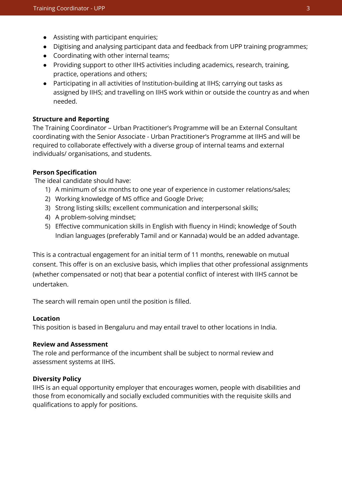- Assisting with participant enquiries;
- Digitising and analysing participant data and feedback from UPP training programmes;
- Coordinating with other internal teams;
- Providing support to other IIHS activities including academics, research, training, practice, operations and others;
- Participating in all activities of Institution-building at IIHS; carrying out tasks as assigned by IIHS; and travelling on IIHS work within or outside the country as and when needed.

#### **Structure and Reporting**

The Training Coordinator – Urban Practitioner's Programme will be an External Consultant coordinating with the Senior Associate - Urban Practitioner's Programme at IIHS and will be required to collaborate effectively with a diverse group of internal teams and external individuals/ organisations, and students.

#### **Person Specification**

The ideal candidate should have:

- 1) A minimum of six months to one year of experience in customer relations/sales;
- 2) Working knowledge of MS office and Google Drive;
- 3) Strong listing skills; excellent communication and interpersonal skills;
- 4) A problem-solving mindset;
- 5) Effective communication skills in English with fluency in Hindi; knowledge of South Indian languages (preferably Tamil and or Kannada) would be an added advantage.

This is a contractual engagement for an initial term of 11 months, renewable on mutual consent. This offer is on an exclusive basis, which implies that other professional assignments (whether compensated or not) that bear a potential conflict of interest with IIHS cannot be undertaken.

The search will remain open until the position is filled.

#### **Location**

This position is based in Bengaluru and may entail travel to other locations in India.

#### **Review and Assessment**

The role and performance of the incumbent shall be subject to normal review and assessment systems at IIHS.

#### **Diversity Policy**

IIHS is an equal opportunity employer that encourages women, people with disabilities and those from economically and socially excluded communities with the requisite skills and qualifications to apply for positions.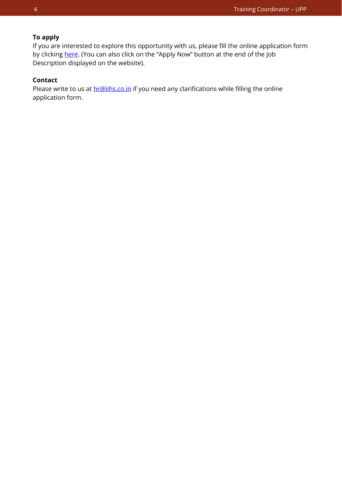# **To apply**

If you are interested to explore this opportunity with us, please fill the online application form by clicking [here.](https://iihs.co.in/job-application/) (You can also click on the "Apply Now" button at the end of the Job Description displayed on the website).

## **Contact**

Please write to us at **hr@iihs.co.in** if you need any clarifications while filling the online application form.